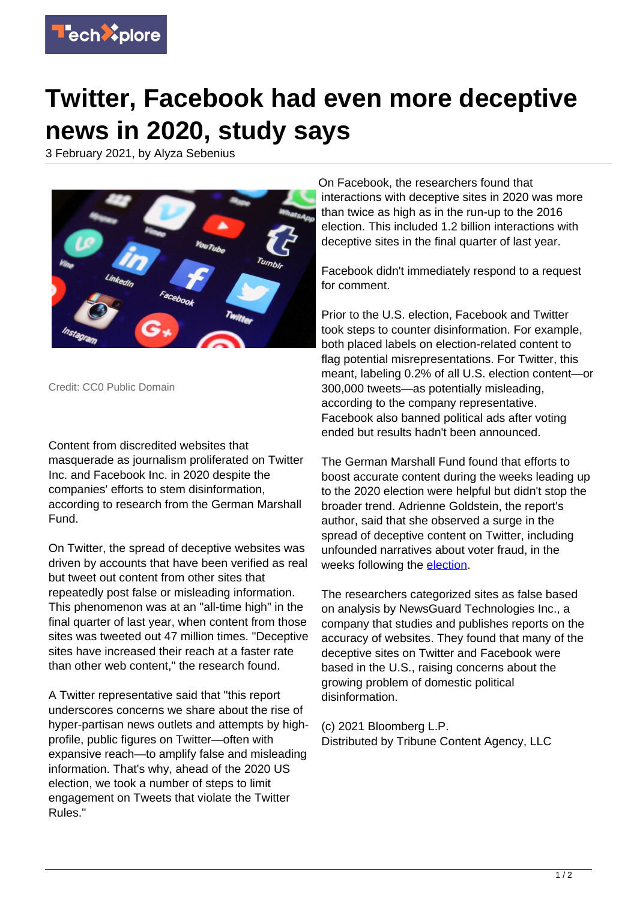

## **Twitter, Facebook had even more deceptive news in 2020, study says**

3 February 2021, by Alyza Sebenius



Credit: CC0 Public Domain

Content from discredited websites that masquerade as journalism proliferated on Twitter Inc. and Facebook Inc. in 2020 despite the companies' efforts to stem disinformation, according to research from the German Marshall Fund.

On Twitter, the spread of deceptive websites was driven by accounts that have been verified as real but tweet out content from other sites that repeatedly post false or misleading information. This phenomenon was at an "all-time high" in the final quarter of last year, when content from those sites was tweeted out 47 million times. "Deceptive sites have increased their reach at a faster rate than other web content," the research found.

A Twitter representative said that "this report underscores concerns we share about the rise of hyper-partisan news outlets and attempts by highprofile, public figures on Twitter—often with expansive reach—to amplify false and misleading information. That's why, ahead of the 2020 US election, we took a number of steps to limit engagement on Tweets that violate the Twitter Rules."

On Facebook, the researchers found that interactions with deceptive sites in 2020 was more than twice as high as in the run-up to the 2016 election. This included 1.2 billion interactions with deceptive sites in the final quarter of last year.

Facebook didn't immediately respond to a request for comment.

Prior to the U.S. election, Facebook and Twitter took steps to counter disinformation. For example, both placed labels on election-related content to flag potential misrepresentations. For Twitter, this meant, labeling 0.2% of all U.S. election content—or 300,000 tweets—as potentially misleading, according to the company representative. Facebook also banned political ads after voting ended but results hadn't been announced.

The German Marshall Fund found that efforts to boost accurate content during the weeks leading up to the 2020 election were helpful but didn't stop the broader trend. Adrienne Goldstein, the report's author, said that she observed a surge in the spread of deceptive content on Twitter, including unfounded narratives about voter fraud, in the weeks following the **election**.

The researchers categorized sites as false based on analysis by NewsGuard Technologies Inc., a company that studies and publishes reports on the accuracy of websites. They found that many of the deceptive sites on Twitter and Facebook were based in the U.S., raising concerns about the growing problem of domestic political disinformation.

(c) 2021 Bloomberg L.P. Distributed by Tribune Content Agency, LLC